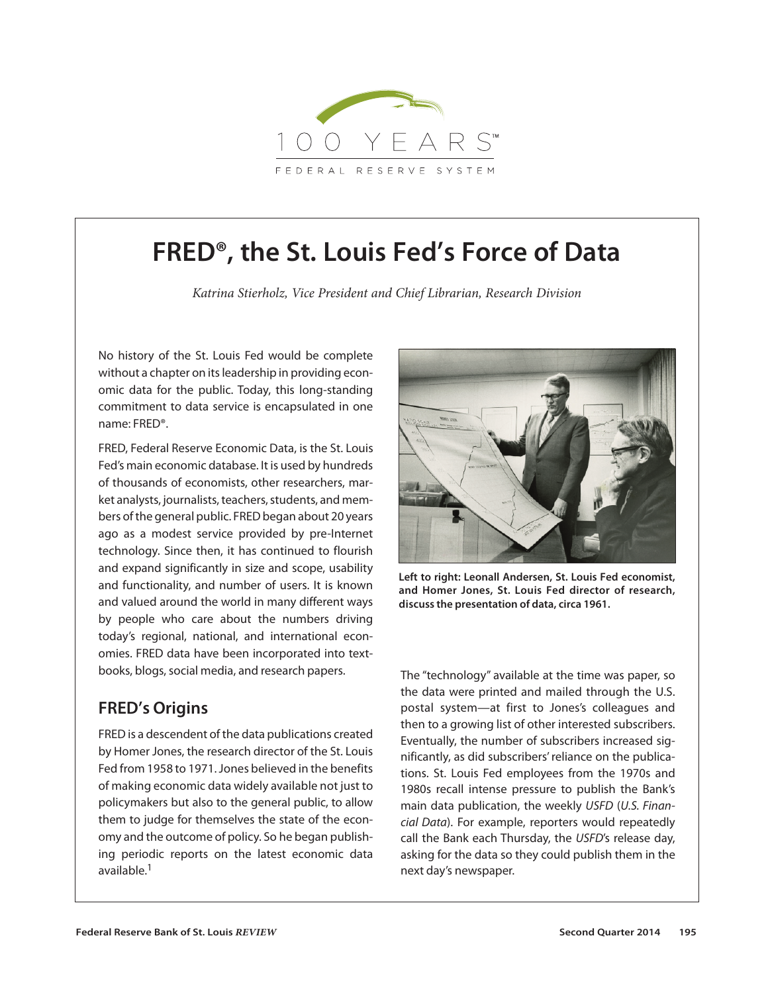

# **FRED®, the St. Louis Fed's Force of Data**

*Katrina Stierholz, Vice President and Chief Librarian, Research Division*

No history of the St. Louis Fed would be complete without a chapter on its leadership in providing economic data for the public. Today, this long-standing commitment to data service is encapsulated in one name: FRED®.

FRED, Federal Reserve Economic Data, is the St. Louis Fed's main economic database. It is used by hundreds of thousands of economists, other researchers, market analysts, journalists, teachers, students, and members of the general public. FRED began about 20 years ago as a modest service provided by pre-Internet technology. Since then, it has continued to flourish and expand significantly in size and scope, usability and functionality, and number of users. It is known and valued around the world in many different ways by people who care about the numbers driving today's regional, national, and international economies. FRED data have been incorporated into textbooks, blogs, social media, and research papers.

# **FRED's Origins**

FRED is a descendent of the data publications created by Homer Jones, the research director of the St. Louis Fed from 1958 to 1971. Jones believed in the benefits of making economic data widely available not just to policymakers but also to the general public, to allow them to judge for themselves the state of the economy and the outcome of policy. So he began publishing periodic reports on the latest economic data available.<sup>1</sup>



**Left to right: Leonall Andersen, St. Louis Fed economist, and Homer Jones, St. Louis Fed director of research, discuss the presentation of data, circa 1961.**

The "technology" available at the time was paper, so the data were printed and mailed through the U.S. postal system—at first to Jones's colleagues and then to a growing list of other interested subscribers. Eventually, the number of subscribers increased significantly, as did subscribers' reliance on the publications. St. Louis Fed employees from the 1970s and 1980s recall intense pressure to publish the Bank's main data publication, the weekly *USFD* (*U.S. Finan cial Data*). For example, reporters would repeatedly call the Bank each Thursday, the *USFD*'s release day, asking for the data so they could publish them in the next day's newspaper.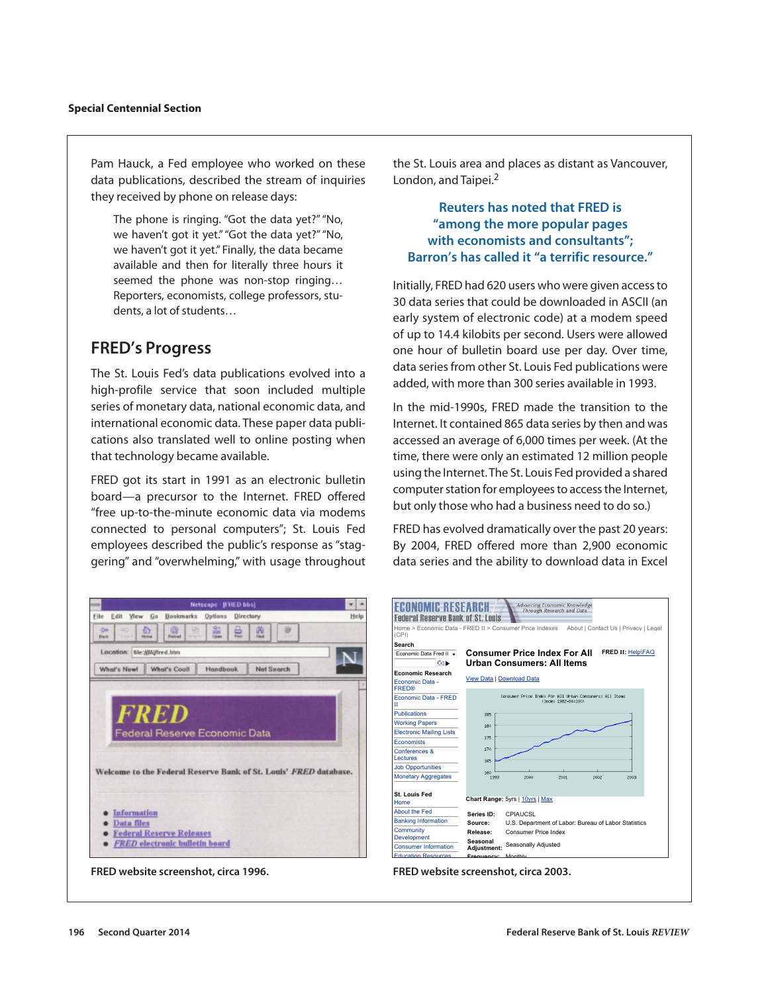Pam Hauck, a Fed employee who worked on these data publications, described the stream of inquiries they received by phone on release days:

The phone is ringing. "Got the data yet?" "No, we haven't got it yet." "Got the data yet?" "No, we haven't got it yet." Finally, the data became available and then for literally three hours it seemed the phone was non-stop ringing… Reporters, economists, college professors, students, a lot of students…

# **FRED's Progress**

The St. Louis Fed's data publications evolved into a high-profile service that soon included multiple series of monetary data, national economic data, and international economic data. These paper data publications also translated well to online posting when that technology became available.

FRED got its start in 1991 as an electronic bulletin board—a precursor to the Internet. FRED offered "free up-to-the-minute economic data via modems connected to personal computers"; St. Louis Fed employees described the public's response as "staggering" and "overwhelming," with usage throughout the St. Louis area and places as distant as Vancouver, London, and Taipei.<sup>2</sup>

## **Reuters has noted that FRED is "among the more popular pages with economists and consultants"; Barron's has called it "a terrific resource."**

Initially, FRED had 620 users who were given access to 30 data series that could be downloaded in ASCII (an early system of electronic code) at a modem speed of up to 14.4 kilobits per second. Users were allowed one hour of bulletin board use per day. Over time, data series from other St. Louis Fed publications were added, with more than 300 series available in 1993.

In the mid-1990s, FRED made the transition to the Internet. It contained 865 data series by then and was accessed an average of 6,000 times per week. (At the time, there were only an estimated 12 million people using the Internet. The St. Louis Fed provided a shared computer station for employees to access the Internet, but only those who had a business need to do so.)

FRED has evolved dramatically over the past 20 years: By 2004, FRED offered more than 2,900 economic data series and the ability to download data in Excel



**FRED website screenshot, circa 1996.**



**FRED website screenshot, circa 2003.**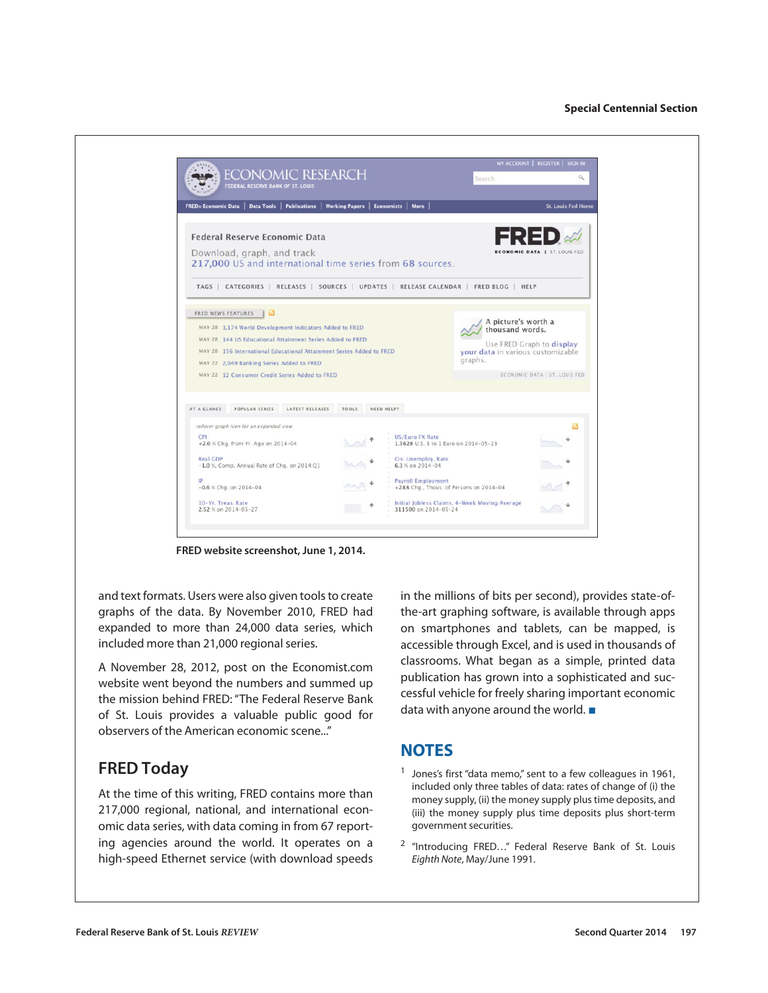

**FRED website screenshot, June 1, 2014.**

and text formats. Users were also given tools to create graphs of the data. By November 2010, FRED had expanded to more than 24,000 data series, which included more than 21,000 regional series.

A November 28, 2012, post on the Economist.com website went beyond the numbers and summed up the mission behind FRED: "The Federal Reserve Bank of St. Louis provides a valuable public good for observers of the American economic scene..."

# **FRED Today**

At the time of this writing, FRED contains more than 217,000 regional, national, and international economic data series, with data coming in from 67 reporting agencies around the world. It operates on a high-speed Ethernet service (with download speeds in the millions of bits per second), provides state-ofthe-art graphing software, is available through apps on smartphones and tablets, can be mapped, is accessible through Excel, and is used in thousands of classrooms. What began as a simple, printed data publication has grown into a sophisticated and successful vehicle for freely sharing important economic data with anyone around the world. ■

# **NOTES**

- <sup>1</sup> Jones's first "data memo," sent to a few colleagues in 1961, included only three tables of data: rates of change of (i) the money supply, (ii) the money supply plus time deposits, and (iii) the money supply plus time deposits plus short-term government securities.
- <sup>2</sup> "Introducing FRED…" Federal Reserve Bank of St. Louis *Eighth Note*, May/June 1991.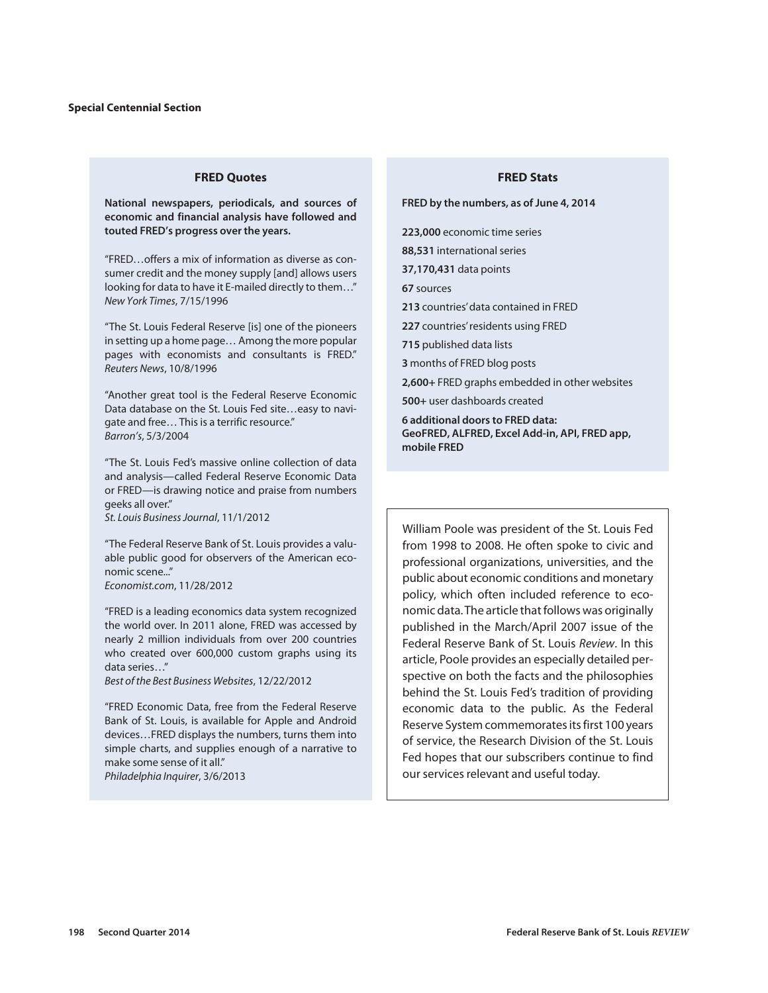#### **FRED Quotes**

**National newspapers, periodicals, and sources of economic and financial analysis have followed and touted FRED's progress over the years.**

"FRED…offers a mix of information as diverse as consumer credit and the money supply [and] allows users looking for data to have it E-mailed directly to them…" *New York Times*, 7/15/1996

"The St. Louis Federal Reserve [is] one of the pioneers in setting up a home page… Among the more popular pages with economists and consultants is FRED." *Reuters News*, 10/8/1996

"Another great tool is the Federal Reserve Economic Data database on the St. Louis Fed site…easy to navigate and free… This is a terrific resource." *Barron's*, 5/3/2004

"The St. Louis Fed's massive online collection of data and analysis—called Federal Reserve Economic Data or FRED—is drawing notice and praise from numbers geeks all over."

*St. Louis Business Journal*, 11/1/2012

"The Federal Reserve Bank of St. Louis provides a valuable public good for observers of the American economic scene..."

*Economist.com*, 11/28/2012

"FRED is a leading economics data system recognized the world over. In 2011 alone, FRED was accessed by nearly 2 million individuals from over 200 countries who created over 600,000 custom graphs using its data series…"

*Best of the Best Business Websites*, 12/22/2012

"FRED Economic Data, free from the Federal Reserve Bank of St. Louis, is available for Apple and Android devices…FRED displays the numbers, turns them into simple charts, and supplies enough of a narrative to make some sense of it all."

*Philadelphia Inquirer*, 3/6/2013

#### **FRED Stats**

**FRED by the numbers, as of June 4, 2014**

**223,000** economic time series

**88,531** international series

**37,170,431** data points

**67** sources

**213** countries' data contained in FRED

**227** countries' residents using FRED

**715** published data lists

**3** months of FRED blog posts

**2,600+** FRED graphs embedded in other websites

**500+** user dashboards created

**6 additional doors to FRED data: GeoFRED, ALFRED, Excel Add-in, API, FRED app, mobile FRED** 

William Poole was president of the St. Louis Fed from 1998 to 2008. He often spoke to civic and professional organizations, universities, and the public about economic conditions and monetary policy, which often included reference to economic data. The article that follows was originally published in the March/April 2007 issue of the Federal Reserve Bank of St. Louis *Review*. In this article, Poole provides an especially detailed perspective on both the facts and the philosophies behind the St. Louis Fed's tradition of providing economic data to the public. As the Federal Reserve System commemorates its first 100 years of service, the Research Division of the St. Louis Fed hopes that our subscribers continue to find our services relevant and useful today.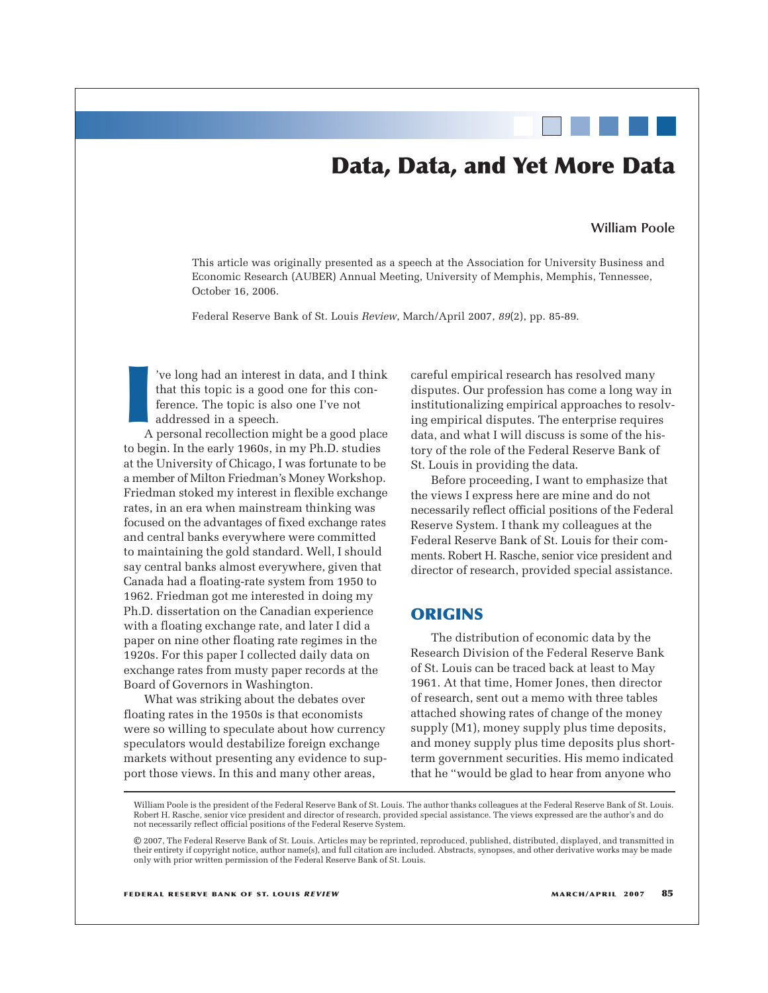# **Data, Data, and Yet More Data**

#### **William Poole**

This article was originally presented as a speech at the Association for University Business and Economic Research (AUBER) Annual Meeting, University of Memphis, Memphis, Tennessee, October 16, 2006.

Federal Reserve Bank of St. Louis *Review*, March/April 2007, *89*(2), pp. 85-89.

**I** 've long had an interest in data, and I think that this topic is a good one for this conference. The topic is also one I've not addressed in a speech.

A personal recollection might be a good place to begin. In the early 1960s, in my Ph.D. studies at the University of Chicago, I was fortunate to be a member of Milton Friedman's Money Workshop. Friedman stoked my interest in flexible exchange rates, in an era when mainstream thinking was focused on the advantages of fixed exchange rates and central banks everywhere were committed to maintaining the gold standard. Well, I should say central banks almost everywhere, given that Canada had a floating-rate system from 1950 to 1962. Friedman got me interested in doing my Ph.D. dissertation on the Canadian experience with a floating exchange rate, and later I did a paper on nine other floating rate regimes in the 1920s. For this paper I collected daily data on exchange rates from musty paper records at the Board of Governors in Washington.

What was striking about the debates over floating rates in the 1950s is that economists were so willing to speculate about how currency speculators would destabilize foreign exchange markets without presenting any evidence to support those views. In this and many other areas,

careful empirical research has resolved many disputes. Our profession has come a long way in institutionalizing empirical approaches to resolving empirical disputes. The enterprise requires data, and what I will discuss is some of the history of the role of the Federal Reserve Bank of St. Louis in providing the data.

Before proceeding, I want to emphasize that the views I express here are mine and do not necessarily reflect official positions of the Federal Reserve System. I thank my colleagues at the Federal Reserve Bank of St. Louis for their comments. Robert H. Rasche, senior vice president and director of research, provided special assistance.

### **ORIGINS**

The distribution of economic data by the Research Division of the Federal Reserve Bank of St. Louis can be traced back at least to May 1961. At that time, Homer Jones, then director of research, sent out a memo with three tables attached showing rates of change of the money supply (M1), money supply plus time deposits, and money supply plus time deposits plus shortterm government securities. His memo indicated that he "would be glad to hear from anyone who

William Poole is the president of the Federal Reserve Bank of St. Louis. The author thanks colleagues at the Federal Reserve Bank of St. Louis. Robert H. Rasche, senior vice president and director of research, provided special assistance. The views expressed are the author's and do not necessarily reflect official positions of the Federal Reserve System.

<sup>©</sup> 2007, The Federal Reserve Bank of St. Louis. Articles may be reprinted, reproduced, published, distributed, displayed, and transmitted in their entirety if copyright notice, author name(s), and full citation are included. Abstracts, synopses, and other derivative works may be made only with prior written permission of the Federal Reserve Bank of St. Louis.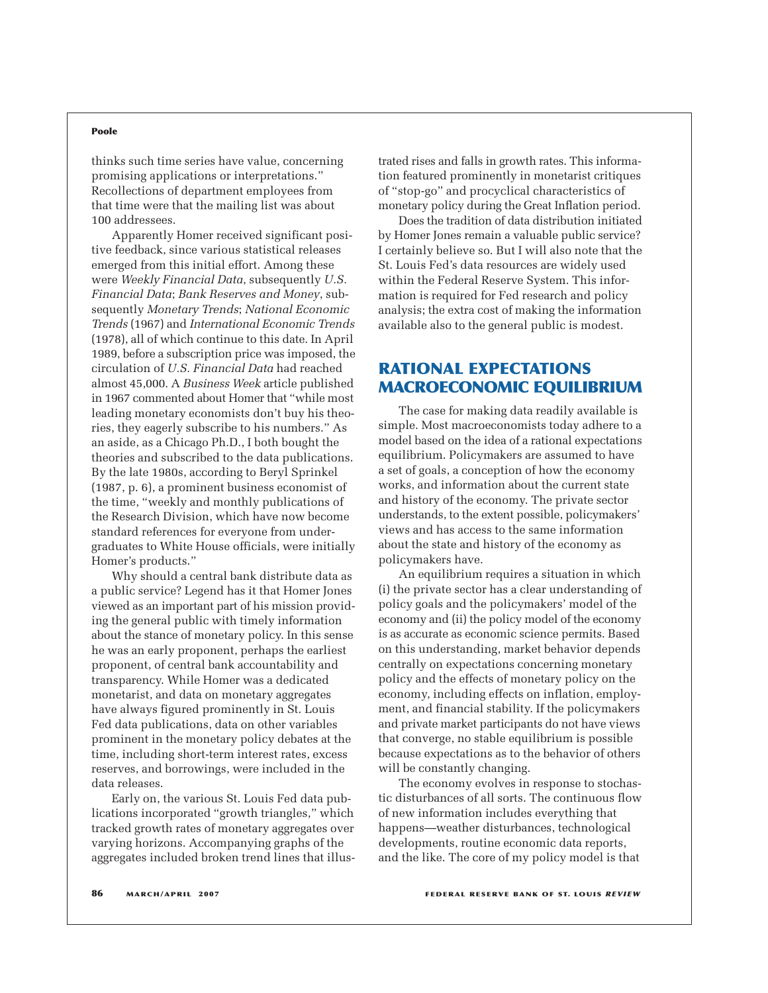#### **Poole**

thinks such time series have value, concerning promising applications or interpretations." Recollections of department employees from that time were that the mailing list was about 100 addressees.

Apparently Homer received significant positive feedback, since various statistical releases emerged from this initial effort. Among these were *Weekly Financial Data*, subsequently *U.S. Financial Data*; *Bank Reserves and Money*, subsequently *Monetary Trends*; *National Economic Trends* (1967) and *International Economic Trends* (1978), all of which continue to this date. In April 1989, before a subscription price was imposed, the circulation of *U.S. Financial Data* had reached almost 45,000. A *Business Week* article published in 1967 commented about Homer that "while most leading monetary economists don't buy his theories, they eagerly subscribe to his numbers." As an aside, as a Chicago Ph.D., I both bought the theories and subscribed to the data publications. By the late 1980s, according to Beryl Sprinkel (1987, p. 6), a prominent business economist of the time, "weekly and monthly publications of the Research Division, which have now become standard references for everyone from undergraduates to White House officials, were initially Homer's products."

Why should a central bank distribute data as a public service? Legend has it that Homer Jones viewed as an important part of his mission providing the general public with timely information about the stance of monetary policy. In this sense he was an early proponent, perhaps the earliest proponent, of central bank accountability and transparency. While Homer was a dedicated monetarist, and data on monetary aggregates have always figured prominently in St. Louis Fed data publications, data on other variables prominent in the monetary policy debates at the time, including short-term interest rates, excess reserves, and borrowings, were included in the data releases.

Early on, the various St. Louis Fed data publications incorporated "growth triangles," which tracked growth rates of monetary aggregates over varying horizons. Accompanying graphs of the aggregates included broken trend lines that illustrated rises and falls in growth rates. This information featured prominently in monetarist critiques of "stop-go" and procyclical characteristics of monetary policy during the Great Inflation period.

Does the tradition of data distribution initiated by Homer Jones remain a valuable public service? I certainly believe so. But I will also note that the St. Louis Fed's data resources are widely used within the Federal Reserve System. This information is required for Fed research and policy analysis; the extra cost of making the information available also to the general public is modest.

## **RATIONAL EXPECTATIONS MACROECONOMIC EQUILIBRIUM**

The case for making data readily available is simple. Most macroeconomists today adhere to a model based on the idea of a rational expectations equilibrium. Policymakers are assumed to have a set of goals, a conception of how the economy works, and information about the current state and history of the economy. The private sector understands, to the extent possible, policymakers' views and has access to the same information about the state and history of the economy as policymakers have.

An equilibrium requires a situation in which (i) the private sector has a clear understanding of policy goals and the policymakers' model of the economy and (ii) the policy model of the economy is as accurate as economic science permits. Based on this understanding, market behavior depends centrally on expectations concerning monetary policy and the effects of monetary policy on the economy, including effects on inflation, employment, and financial stability. If the policymakers and private market participants do not have views that converge, no stable equilibrium is possible because expectations as to the behavior of others will be constantly changing.

The economy evolves in response to stochastic disturbances of all sorts. The continuous flow of new information includes everything that happens—weather disturbances, technological developments, routine economic data reports, and the like. The core of my policy model is that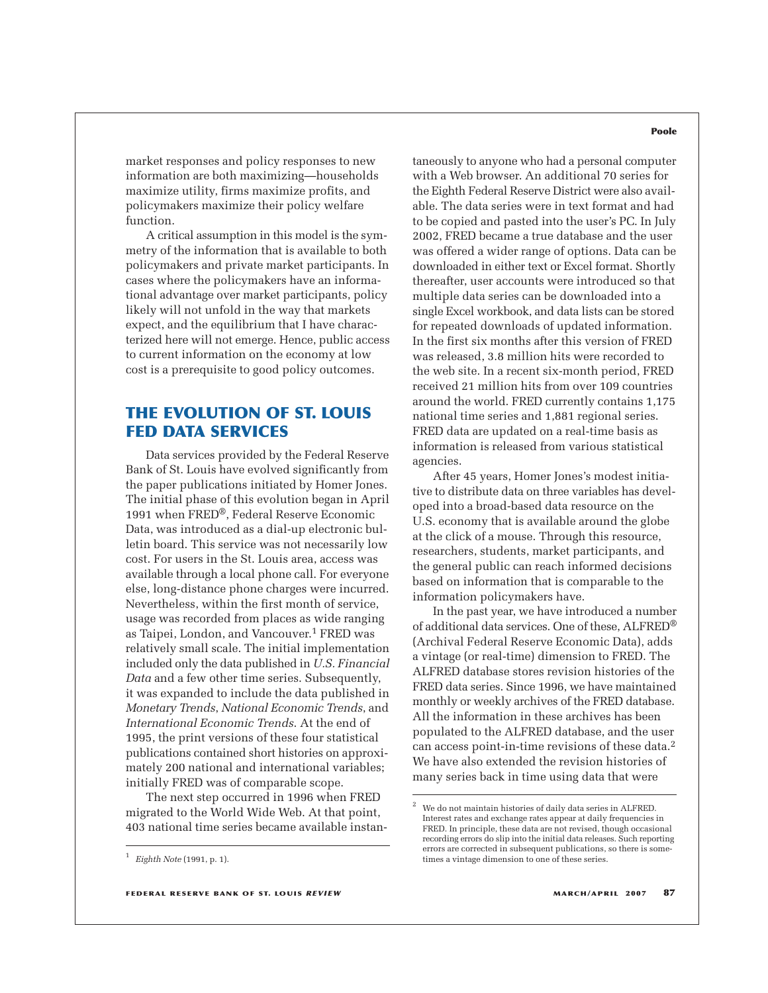market responses and policy responses to new information are both maximizing—households maximize utility, firms maximize profits, and policymakers maximize their policy welfare function.

A critical assumption in this model is the symmetry of the information that is available to both policymakers and private market participants. In cases where the policymakers have an informational advantage over market participants, policy likely will not unfold in the way that markets expect, and the equilibrium that I have characterized here will not emerge. Hence, public access to current information on the economy at low cost is a prerequisite to good policy outcomes.

## **THE EVOLUTION OF ST. LOUIS FED DATA SERVICES**

Data services provided by the Federal Reserve Bank of St. Louis have evolved significantly from the paper publications initiated by Homer Jones. The initial phase of this evolution began in April 1991 when FRED®, Federal Reserve Economic Data, was introduced as a dial-up electronic bulletin board. This service was not necessarily low cost. For users in the St. Louis area, access was available through a local phone call. For everyone else, long-distance phone charges were incurred. Nevertheless, within the first month of service, usage was recorded from places as wide ranging as Taipei, London, and Vancouver.1 FRED was relatively small scale. The initial implementation included only the data published in *U.S. Financial Data* and a few other time series. Subsequently, it was expanded to include the data published in *Monetary Trends*, *National Economic Trends*, and *International Economic Trends*. At the end of 1995, the print versions of these four statistical publications contained short histories on approximately 200 national and international variables; initially FRED was of comparable scope.

The next step occurred in 1996 when FRED migrated to the World Wide Web. At that point, 403 national time series became available instan-

#### taneously to anyone who had a personal computer with a Web browser. An additional 70 series for the Eighth Federal Reserve District were also available. The data series were in text format and had to be copied and pasted into the user's PC. In July 2002, FRED became a true database and the user was offered a wider range of options. Data can be downloaded in either text or Excel format. Shortly thereafter, user accounts were introduced so that multiple data series can be downloaded into a single Excel workbook, and data lists can be stored for repeated downloads of updated information. In the first six months after this version of FRED was released, 3.8 million hits were recorded to the web site. In a recent six-month period, FRED received 21 million hits from over 109 countries around the world. FRED currently contains 1,175 national time series and 1,881 regional series. FRED data are updated on a real-time basis as information is released from various statistical agencies.

After 45 years, Homer Jones's modest initiative to distribute data on three variables has developed into a broad-based data resource on the U.S. economy that is available around the globe at the click of a mouse. Through this resource, researchers, students, market participants, and the general public can reach informed decisions based on information that is comparable to the information policymakers have.

In the past year, we have introduced a number of additional data services. One of these, ALFRED® (Archival Federal Reserve Economic Data), adds a vintage (or real-time) dimension to FRED. The ALFRED database stores revision histories of the FRED data series. Since 1996, we have maintained monthly or weekly archives of the FRED database. All the information in these archives has been populated to the ALFRED database, and the user can access point-in-time revisions of these data.2 We have also extended the revision histories of many series back in time using data that were

#### **Poole**

<sup>1</sup> *Eighth Note* (1991, p. 1).

We do not maintain histories of daily data series in ALFRED. Interest rates and exchange rates appear at daily frequencies in FRED. In principle, these data are not revised, though occasional recording errors do slip into the initial data releases. Such reporting errors are corrected in subsequent publications, so there is sometimes a vintage dimension to one of these series.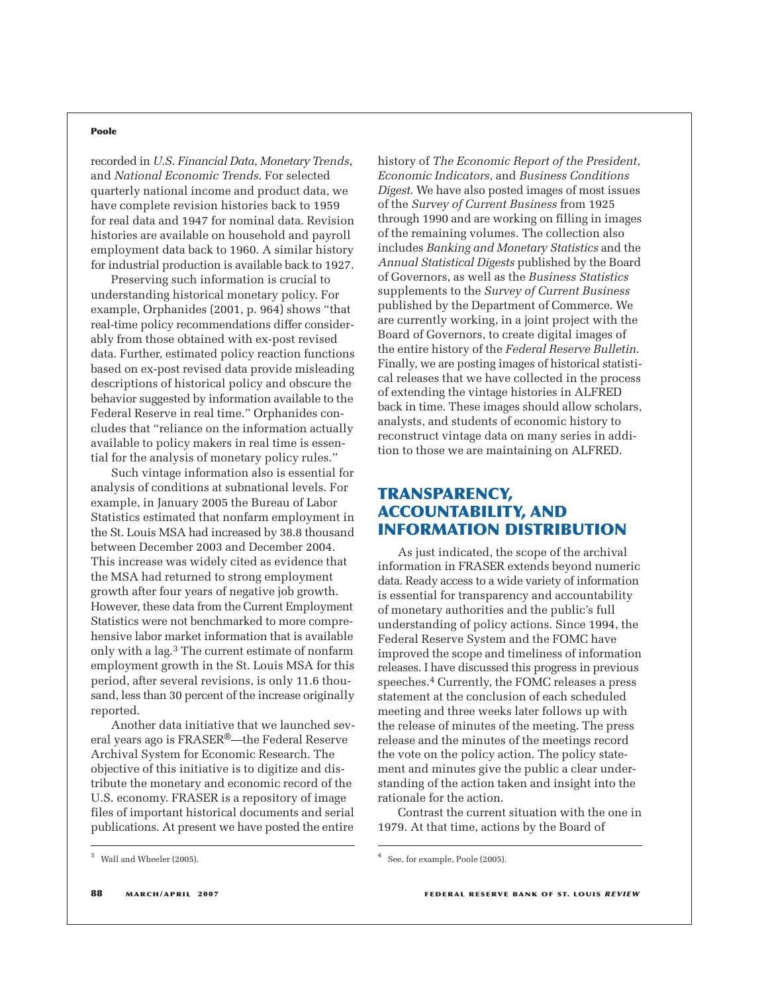#### **Poole**

recorded in *U.S. Financial Data*, *Monetary Trends*, and *National Economic Trends*. For selected quarterly national income and product data, we have complete revision histories back to 1959 for real data and 1947 for nominal data. Revision histories are available on household and payroll employment data back to 1960. A similar history for industrial production is available back to 1927.

Preserving such information is crucial to understanding historical monetary policy. For example, Orphanides (2001, p. 964) shows "that real-time policy recommendations differ considerably from those obtained with ex-post revised data. Further, estimated policy reaction functions based on ex-post revised data provide misleading descriptions of historical policy and obscure the behavior suggested by information available to the Federal Reserve in real time." Orphanides concludes that "reliance on the information actually available to policy makers in real time is essential for the analysis of monetary policy rules."

Such vintage information also is essential for analysis of conditions at subnational levels. For example, in January 2005 the Bureau of Labor Statistics estimated that nonfarm employment in the St. Louis MSA had increased by 38.8 thousand between December 2003 and December 2004. This increase was widely cited as evidence that the MSA had returned to strong employment growth after four years of negative job growth. However, these data from the Current Employment Statistics were not benchmarked to more comprehensive labor market information that is available only with a lag.3 The current estimate of nonfarm employment growth in the St. Louis MSA for this period, after several revisions, is only 11.6 thousand, less than 30 percent of the increase originally reported.

Another data initiative that we launched several years ago is FRASER®—the Federal Reserve Archival System for Economic Research. The objective of this initiative is to digitize and distribute the monetary and economic record of the U.S. economy. FRASER is a repository of image files of important historical documents and serial publications. At present we have posted the entire history of *The Economic Report of the President*, *Economic Indicators*, and *Business Conditions Digest*. We have also posted images of most issues of the *Survey of Current Business* from 1925 through 1990 and are working on filling in images of the remaining volumes. The collection also includes *Banking and Monetary Statistics* and the *Annual Statistical Digests* published by the Board of Governors, as well as the *Business Statistics* supplements to the *Survey of Current Business* published by the Department of Commerce. We are currently working, in a joint project with the Board of Governors, to create digital images of the entire history of the *Federal Reserve Bulletin*. Finally, we are posting images of historical statistical releases that we have collected in the process of extending the vintage histories in ALFRED back in time. These images should allow scholars, analysts, and students of economic history to reconstruct vintage data on many series in addition to those we are maintaining on ALFRED.

## **TRANSPARENCY, ACCOUNTABILITY, AND INFORMATION DISTRIBUTION**

As just indicated, the scope of the archival information in FRASER extends beyond numeric data. Ready access to a wide variety of information is essential for transparency and accountability of monetary authorities and the public's full understanding of policy actions. Since 1994, the Federal Reserve System and the FOMC have improved the scope and timeliness of information releases. I have discussed this progress in previous speeches.4 Currently, the FOMC releases a press statement at the conclusion of each scheduled meeting and three weeks later follows up with the release of minutes of the meeting. The press release and the minutes of the meetings record the vote on the policy action. The policy statement and minutes give the public a clear understanding of the action taken and insight into the rationale for the action.

Contrast the current situation with the one in 1979. At that time, actions by the Board of

 $^3$  Wall and Wheeler (2005).  $^4$  See, for example, Poole (2005).